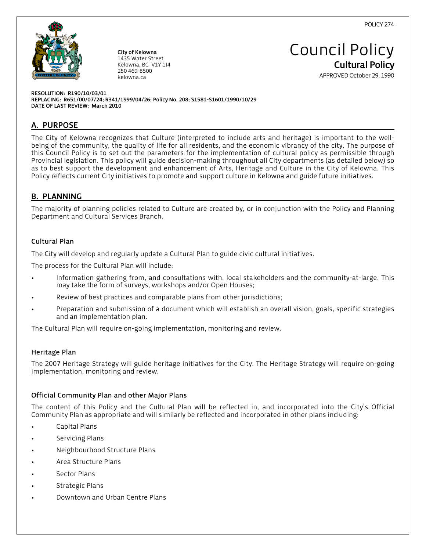

City of Kelowna 1435 Water Street Kelowna, BC V1Y 1J4 250 469-8500 kelowna.ca

Council Policy Cultural Policy

APPROVED October 29, 1990

RESOLUTION: R190/10/03/01 REPLACING: R651/00/07/24; R341/1999/04/26; Policy No. 208; S1581-S1601/1990/10/29 DATE OF LAST REVIEW: March 2010

# A. PURPOSE

The City of Kelowna recognizes that Culture (interpreted to include arts and heritage) is important to the wellbeing of the community, the quality of life for all residents, and the economic vibrancy of the city. The purpose of this Council Policy is to set out the parameters for the implementation of cultural policy as permissible through Provincial legislation. This policy will guide decision-making throughout all City departments (as detailed below) so as to best support the development and enhancement of Arts, Heritage and Culture in the City of Kelowna. This Policy reflects current City initiatives to promote and support culture in Kelowna and guide future initiatives.

# B. PLANNING

The majority of planning policies related to Culture are created by, or in conjunction with the Policy and Planning Department and Cultural Services Branch.

# Cultural Plan

The City will develop and regularly update a Cultural Plan to guide civic cultural initiatives.

The process for the Cultural Plan will include:

- Information gathering from, and consultations with, local stakeholders and the community-at-large. This may take the form of surveys, workshops and/or Open Houses;
- Review of best practices and comparable plans from other jurisdictions;
- Preparation and submission of a document which will establish an overall vision, goals, specific strategies and an implementation plan.

The Cultural Plan will require on-going implementation, monitoring and review.

# Heritage Plan

The 2007 Heritage Strategy will guide heritage initiatives for the City. The Heritage Strategy will require on-going implementation, monitoring and review.

# Official Community Plan and other Major Plans

The content of this Policy and the Cultural Plan will be reflected in, and incorporated into the City's Official Community Plan as appropriate and will similarly be reflected and incorporated in other plans including:

- Capital Plans
- Servicing Plans
- Neighbourhood Structure Plans
- Area Structure Plans
- Sector Plans
- Strategic Plans
- Downtown and Urban Centre Plans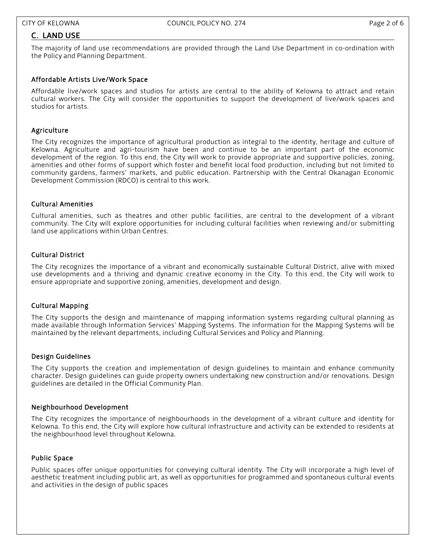# C. LAND USE

The majority of land use recommendations are provided through the Land Use Department in co-ordination with the Policy and Planning Department.

## Affordable Artists Live/Work Space

Affordable live/work spaces and studios for artists are central to the ability of Kelowna to attract and retain cultural workers. The City will consider the opportunities to support the development of live/work spaces and studios for artists.

# **Agriculture**

The City recognizes the importance of agricultural production as integral to the identity, heritage and culture of Kelowna. Agriculture and agri-tourism have been and continue to be an important part of the economic development of the region. To this end, the City will work to provide appropriate and supportive policies, zoning, amenities and other forms of support which foster and benefit local food production, including but not limited to community gardens, farmers' markets, and public education. Partnership with the Central Okanagan Economic Development Commission (RDCO) is central to this work.

## Cultural Amenities

Cultural amenities, such as theatres and other public facilities, are central to the development of a vibrant community. The City will explore opportunities for including cultural facilities when reviewing and/or submitting land use applications within Urban Centres.

## Cultural District

The City recognizes the importance of a vibrant and economically sustainable Cultural District, alive with mixed use developments and a thriving and dynamic creative economy in the City. To this end, the City will work to ensure appropriate and supportive zoning, amenities, development and design.

#### Cultural Mapping

The City supports the design and maintenance of mapping information systems regarding cultural planning as made available through Information Services' Mapping Systems. The information for the Mapping Systems will be maintained by the relevant departments, including Cultural Services and Policy and Planning.

# Design Guidelines

The City supports the creation and implementation of design guidelines to maintain and enhance community character. Design guidelines can guide property owners undertaking new construction and/or renovations. Design guidelines are detailed in the Official Community Plan.

#### Neighbourhood Development

The City recognizes the importance of neighbourhoods in the development of a vibrant culture and identity for Kelowna. To this end, the City will explore how cultural infrastructure and activity can be extended to residents at the neighbourhood level throughout Kelowna.

#### Public Space

Public spaces offer unique opportunities for conveying cultural identity. The City will incorporate a high level of aesthetic treatment including public art, as well as opportunities for programmed and spontaneous cultural events and activities in the design of public spaces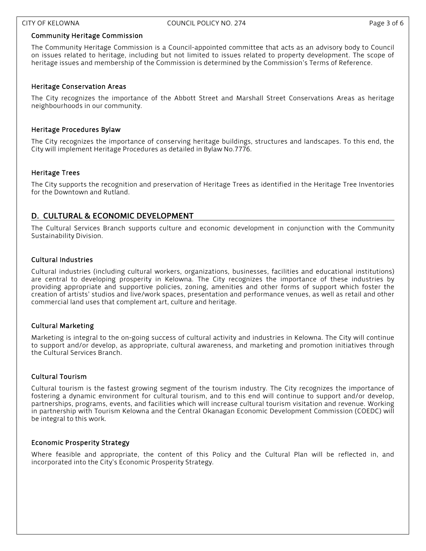### Community Heritage Commission

The Community Heritage Commission is a Council-appointed committee that acts as an advisory body to Council on issues related to heritage, including but not limited to issues related to property development. The scope of heritage issues and membership of the Commission is determined by the Commission's Terms of Reference.

## Heritage Conservation Areas

The City recognizes the importance of the Abbott Street and Marshall Street Conservations Areas as heritage neighbourhoods in our community.

### Heritage Procedures Bylaw

The City recognizes the importance of conserving heritage buildings, structures and landscapes. To this end, the City will implement Heritage Procedures as detailed in Bylaw No.7776.

## Heritage Trees

The City supports the recognition and preservation of Heritage Trees as identified in the Heritage Tree Inventories for the Downtown and Rutland.

# D. CULTURAL & ECONOMIC DEVELOPMENT

The Cultural Services Branch supports culture and economic development in conjunction with the Community Sustainability Division.

## Cultural Industries

Cultural industries (including cultural workers, organizations, businesses, facilities and educational institutions) are central to developing prosperity in Kelowna. The City recognizes the importance of these industries by providing appropriate and supportive policies, zoning, amenities and other forms of support which foster the creation of artists' studios and live/work spaces, presentation and performance venues, as well as retail and other commercial land uses that complement art, culture and heritage.

# Cultural Marketing

Marketing is integral to the on-going success of cultural activity and industries in Kelowna. The City will continue to support and/or develop, as appropriate, cultural awareness, and marketing and promotion initiatives through the Cultural Services Branch.

#### Cultural Tourism

Cultural tourism is the fastest growing segment of the tourism industry. The City recognizes the importance of fostering a dynamic environment for cultural tourism, and to this end will continue to support and/or develop, partnerships, programs, events, and facilities which will increase cultural tourism visitation and revenue. Working in partnership with Tourism Kelowna and the Central Okanagan Economic Development Commission (COEDC) will be integral to this work.

# Economic Prosperity Strategy

Where feasible and appropriate, the content of this Policy and the Cultural Plan will be reflected in, and incorporated into the City's Economic Prosperity Strategy.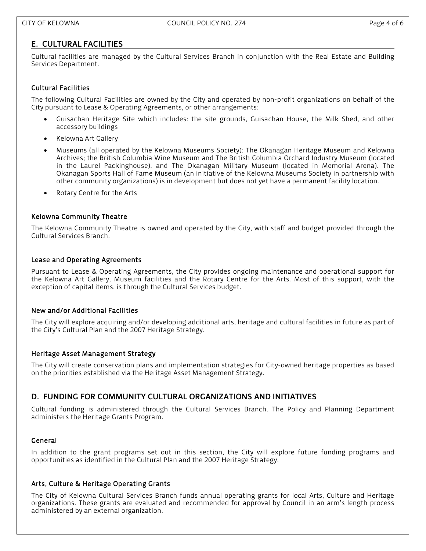# E. CULTURAL FACILITIES

Cultural facilities are managed by the Cultural Services Branch in conjunction with the Real Estate and Building Services Department.

# Cultural Facilities

The following Cultural Facilities are owned by the City and operated by non-profit organizations on behalf of the City pursuant to Lease & Operating Agreements, or other arrangements:

- Guisachan Heritage Site which includes: the site grounds, Guisachan House, the Milk Shed, and other accessory buildings
- Kelowna Art Gallery
- Museums (all operated by the Kelowna Museums Society): The Okanagan Heritage Museum and Kelowna Archives; the British Columbia Wine Museum and The British Columbia Orchard Industry Museum (located in the Laurel Packinghouse), and The Okanagan Military Museum (located in Memorial Arena). The Okanagan Sports Hall of Fame Museum (an initiative of the Kelowna Museums Society in partnership with other community organizations) is in development but does not yet have a permanent facility location.
- Rotary Centre for the Arts

## Kelowna Community Theatre

The Kelowna Community Theatre is owned and operated by the City, with staff and budget provided through the Cultural Services Branch.

#### Lease and Operating Agreements

Pursuant to Lease & Operating Agreements, the City provides ongoing maintenance and operational support for the Kelowna Art Gallery, Museum facilities and the Rotary Centre for the Arts. Most of this support, with the exception of capital items, is through the Cultural Services budget.

#### New and/or Additional Facilities

The City will explore acquiring and/or developing additional arts, heritage and cultural facilities in future as part of the City's Cultural Plan and the 2007 Heritage Strategy.

#### Heritage Asset Management Strategy

The City will create conservation plans and implementation strategies for City-owned heritage properties as based on the priorities established via the Heritage Asset Management Strategy.

# D. FUNDING FOR COMMUNITY CULTURAL ORGANIZATIONS AND INITIATIVES

Cultural funding is administered through the Cultural Services Branch. The Policy and Planning Department administers the Heritage Grants Program.

#### General

In addition to the grant programs set out in this section, the City will explore future funding programs and opportunities as identified in the Cultural Plan and the 2007 Heritage Strategy.

# Arts, Culture & Heritage Operating Grants

The City of Kelowna Cultural Services Branch funds annual operating grants for local Arts, Culture and Heritage organizations. These grants are evaluated and recommended for approval by Council in an arm's length process administered by an external organization.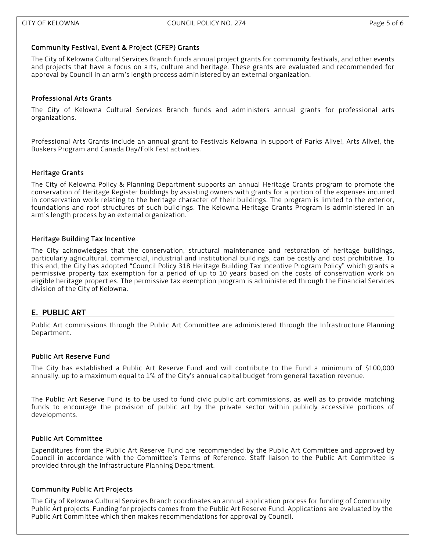## Community Festival, Event & Project (CFEP) Grants

The City of Kelowna Cultural Services Branch funds annual project grants for community festivals, and other events and projects that have a focus on arts, culture and heritage. These grants are evaluated and recommended for approval by Council in an arm's length process administered by an external organization.

## Professional Arts Grants

The City of Kelowna Cultural Services Branch funds and administers annual grants for professional arts organizations.

Professional Arts Grants include an annual grant to Festivals Kelowna in support of Parks Alive!, Arts Alive!, the Buskers Program and Canada Day/Folk Fest activities.

## Heritage Grants

The City of Kelowna Policy & Planning Department supports an annual Heritage Grants program to promote the conservation of Heritage Register buildings by assisting owners with grants for a portion of the expenses incurred in conservation work relating to the heritage character of their buildings. The program is limited to the exterior, foundations and roof structures of such buildings. The Kelowna Heritage Grants Program is administered in an arm's length process by an external organization.

## Heritage Building Tax Incentive

The City acknowledges that the conservation, structural maintenance and restoration of heritage buildings, particularly agricultural, commercial, industrial and institutional buildings, can be costly and cost prohibitive. To this end, the City has adopted "Council Policy 318 Heritage Building Tax Incentive Program Policy" which grants a permissive property tax exemption for a period of up to 10 years based on the costs of conservation work on eligible heritage properties. The permissive tax exemption program is administered through the Financial Services division of the City of Kelowna.

# E. PUBLIC ART

Public Art commissions through the Public Art Committee are administered through the Infrastructure Planning Department.

# Public Art Reserve Fund

The City has established a Public Art Reserve Fund and will contribute to the Fund a minimum of \$100,000 annually, up to a maximum equal to 1% of the City's annual capital budget from general taxation revenue.

The Public Art Reserve Fund is to be used to fund civic public art commissions, as well as to provide matching funds to encourage the provision of public art by the private sector within publicly accessible portions of developments.

#### Public Art Committee

Expenditures from the Public Art Reserve Fund are recommended by the Public Art Committee and approved by Council in accordance with the Committee's Terms of Reference. Staff liaison to the Public Art Committee is provided through the Infrastructure Planning Department.

### Community Public Art Projects

The City of Kelowna Cultural Services Branch coordinates an annual application process for funding of Community Public Art projects. Funding for projects comes from the Public Art Reserve Fund. Applications are evaluated by the Public Art Committee which then makes recommendations for approval by Council.